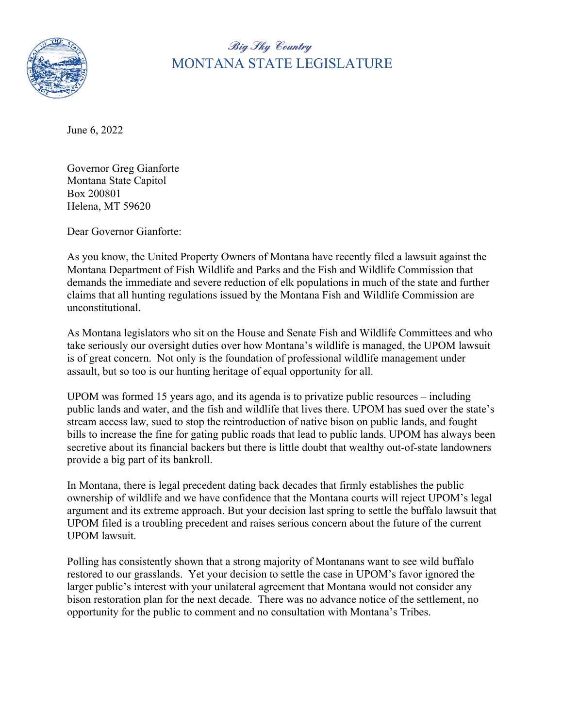

**Big Sky Country** MONTANA STATE LEGISLATURE

June 6, 2022

Governor Greg Gianforte Montana State Capitol Box 200801 Helena, MT 59620

Dear Governor Gianforte:

As you know, the United Property Owners of Montana have recently filed a lawsuit against the Montana Department of Fish Wildlife and Parks and the Fish and Wildlife Commission that demands the immediate and severe reduction of elk populations in much of the state and further claims that all hunting regulations issued by the Montana Fish and Wildlife Commission are unconstitutional.

As Montana legislators who sit on the House and Senate Fish and Wildlife Committees and who take seriously our oversight duties over how Montana's wildlife is managed, the UPOM lawsuit is of great concern. Not only is the foundation of professional wildlife management under assault, but so too is our hunting heritage of equal opportunity for all.

UPOM was formed 15 years ago, and its agenda is to privatize public resources – including public lands and water, and the fish and wildlife that lives there. UPOM has sued over the state's stream access law, sued to stop the reintroduction of native bison on public lands, and fought bills to increase the fine for gating public roads that lead to public lands. UPOM has always been secretive about its financial backers but there is little doubt that wealthy out-of-state landowners provide a big part of its bankroll.

In Montana, there is legal precedent dating back decades that firmly establishes the public ownership of wildlife and we have confidence that the Montana courts will reject UPOM's legal argument and its extreme approach. But your decision last spring to settle the buffalo lawsuit that UPOM filed is a troubling precedent and raises serious concern about the future of the current UPOM lawsuit.

Polling has consistently shown that a strong majority of Montanans want to see wild buffalo restored to our grasslands. Yet your decision to settle the case in UPOM's favor ignored the larger public's interest with your unilateral agreement that Montana would not consider any bison restoration plan for the next decade. There was no advance notice of the settlement, no opportunity for the public to comment and no consultation with Montana's Tribes.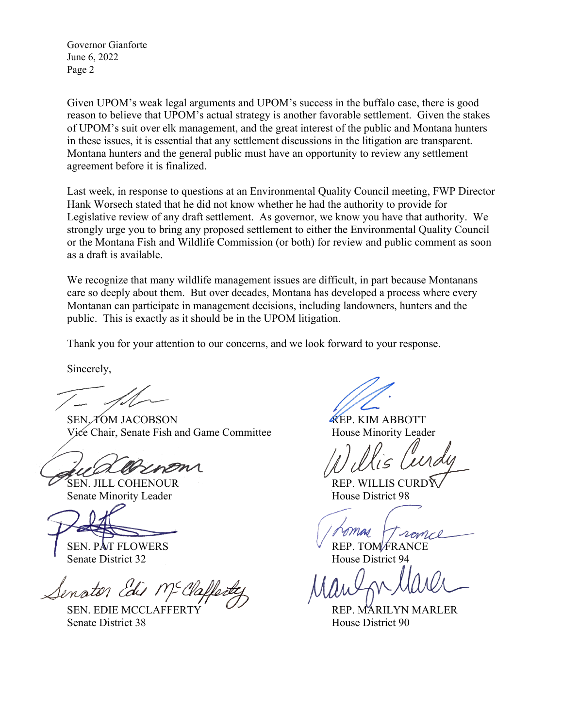Governor Gianforte June 6, 2022 Page 2

Given UPOM's weak legal arguments and UPOM's success in the buffalo case, there is good reason to believe that UPOM's actual strategy is another favorable settlement. Given the stakes of UPOM's suit over elk management, and the great interest of the public and Montana hunters in these issues, it is essential that any settlement discussions in the litigation are transparent. Montana hunters and the general public must have an opportunity to review any settlement agreement before it is finalized.

Last week, in response to questions at an Environmental Quality Council meeting, FWP Director Hank Worsech stated that he did not know whether he had the authority to provide for Legislative review of any draft settlement. As governor, we know you have that authority. We strongly urge you to bring any proposed settlement to either the Environmental Quality Council or the Montana Fish and Wildlife Commission (or both) for review and public comment as soon as a draft is available.

We recognize that many wildlife management issues are difficult, in part because Montanans care so deeply about them. But over decades, Montana has developed a process where every Montanan can participate in management decisions, including landowners, hunters and the public. This is exactly as it should be in the UPOM litigation.

Thank you for your attention to our concerns, and we look forward to your response.

Sincerely,

SEN. TOM JACOBSON REP. KIM ABBOTT Vice Chair, Senate Fish and Game Committee House Minority Leader

Senate Minority Leader House District 98

SEN. PAT FLOWERS EXAMPLE TO REP. TOM FRANCE Senate District 32 House District 94

Senator Edis Mc Cla

Senate District 38 House District 90

SEN. JILL COHENOUR REP. WILLIS CURDY

SEN. EDIE MCCLAFFERTY COMPUTER REP. MARILYN MARLER